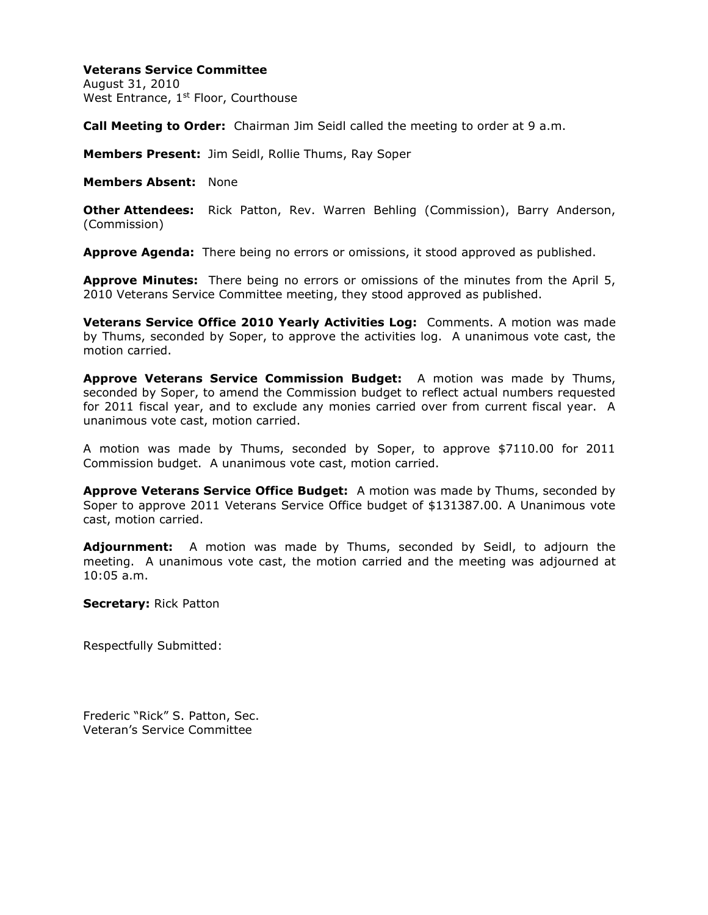## **Veterans Service Committee**

August 31, 2010 West Entrance, 1<sup>st</sup> Floor, Courthouse

**Call Meeting to Order:** Chairman Jim Seidl called the meeting to order at 9 a.m.

**Members Present:** Jim Seidl, Rollie Thums, Ray Soper

**Members Absent:** None

**Other Attendees:** Rick Patton, Rev. Warren Behling (Commission), Barry Anderson, (Commission)

**Approve Agenda:** There being no errors or omissions, it stood approved as published.

**Approve Minutes:** There being no errors or omissions of the minutes from the April 5, 2010 Veterans Service Committee meeting, they stood approved as published.

**Veterans Service Office 2010 Yearly Activities Log:** Comments. A motion was made by Thums, seconded by Soper, to approve the activities log. A unanimous vote cast, the motion carried.

**Approve Veterans Service Commission Budget:** A motion was made by Thums, seconded by Soper, to amend the Commission budget to reflect actual numbers requested for 2011 fiscal year, and to exclude any monies carried over from current fiscal year. A unanimous vote cast, motion carried.

A motion was made by Thums, seconded by Soper, to approve \$7110.00 for 2011 Commission budget. A unanimous vote cast, motion carried.

**Approve Veterans Service Office Budget:** A motion was made by Thums, seconded by Soper to approve 2011 Veterans Service Office budget of \$131387.00. A Unanimous vote cast, motion carried.

**Adjournment:** A motion was made by Thums, seconded by Seidl, to adjourn the meeting. A unanimous vote cast, the motion carried and the meeting was adjourned at 10:05 a.m.

**Secretary:** Rick Patton

Respectfully Submitted:

Frederic "Rick" S. Patton, Sec. Veteran's Service Committee